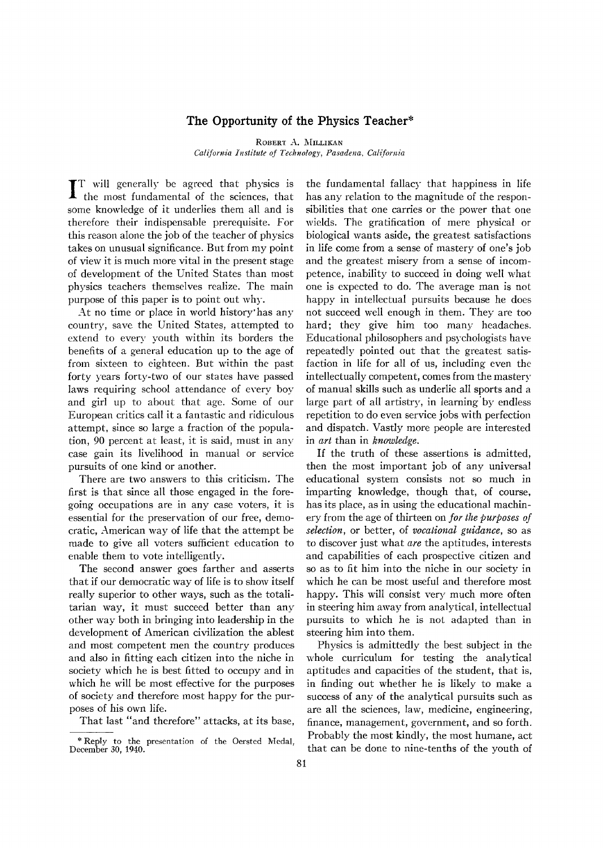## **The Opportunity of the Physics Teacher\***

ROBERT A. MILLIKAN

*California Institute of Technology, Pasadena. California* 

IT will generally be agreed that physics is<br>the most fundamental of the sciences, that T will generally be agreed that physics is some knowledge of it underlies them all and is therefore their indispensable prerequisite. For this reason alone the job of the teacher of physics takes on unusual significance. But from my point of view it is much more vital in the present stage of development of the United States than most physics teachers themselves realize. The main purpose of this paper is to point out why.

At no time or place in world history'has any country, save the United States, attempted to extend to every youth within its borders the benefits of a general education up to the age of from sixteen to eighteen. But within the past forty years forty-two of our states have passed laws requiring school attendance of every boy and girl up to about that age. Some of our European critics call it a fantastic and ridiculous attempt, since so large a fraction of the population, 90 percent at least, it is said, must in any case gain its livelihood in manual or service pursuits of one kind or another.

There are two answers to this criticism. The first is that since all those engaged in the foregoing occupations are in any case voters, it is essential for the preservation of our free, democratic, American way of life that the attempt be made to give all voters sufficient education to enable them to vote intelligently.

The second answer goes farther and asserts that if our democratic way of life is to show itself really superior to other ways, such as the totalitarian way, it must succeed better than any other way both in bringing into leadership in the development of American civilization the ablest and most competent men the country produces and also in fitting each citizen into the niche in society which he is best fitted to occupy and in which he will be most effective for the purposes of society and therefore most happy for the purposes of his own life.

That last "and therefore" attacks, at its base,

the fundamental fallacy that happiness in life has any relation to the magnitude of the responsibilities that one carries or the power that one wields. The gratification of mere physical or biological wants aside, the greatest satisfactions in life come from a sense of mastery of one's job and the greatest misery from a sense of incompetence, inability to succeed in doing \vell what one is expected to do. The average man is not happy in intellectual pursuits because he does not succeed \vell enough in them. They are too hard; they give him too many headaches. Educational philosophers and psychologists have repeatedly pointed out that the greatest satisfaction in life for all of us, including even the intellectually competent, comes from the mastery of manual skills such as underlie all sports and a large part of all artistry, in learning 'by endless repetition to do even service jobs with perfection and dispatch. Vastly more people are interested in *art* than in *knowledge.* 

If the truth of these assertions is admitted, then the most important job of any universal educational system consists not so much in imparting knowledge, though that, of course, has its place, as in using the educational machinery from the age of thirteen on *for the purposes of selection,* or better, of *vocational guidance,* so as to discover just what *are* the aptitudes, interests and capabilities of each prospective citizen and so as to fit him into the niche in our society in which he can be most useful and therefore most happy. This will consist very much more often in steering him away from analytical, intellectual pursuits to which he is not adapted than in steering him into them.

Physics is admittedly the best subject in the whole curriculum for testing the analytical aptitudes and capacities of the student, that is, in finding out whether he is likely to make a success of any of the analytical pursuits such as are all the sciences, law, medicine, engineering, finance, management, government, and so forth. Probably the most kindly, the most humane, act that can be done to nine-tenths of the youth of

<sup>\*</sup>Reply to the presentation of the Oersted Medal, December 30, 1940.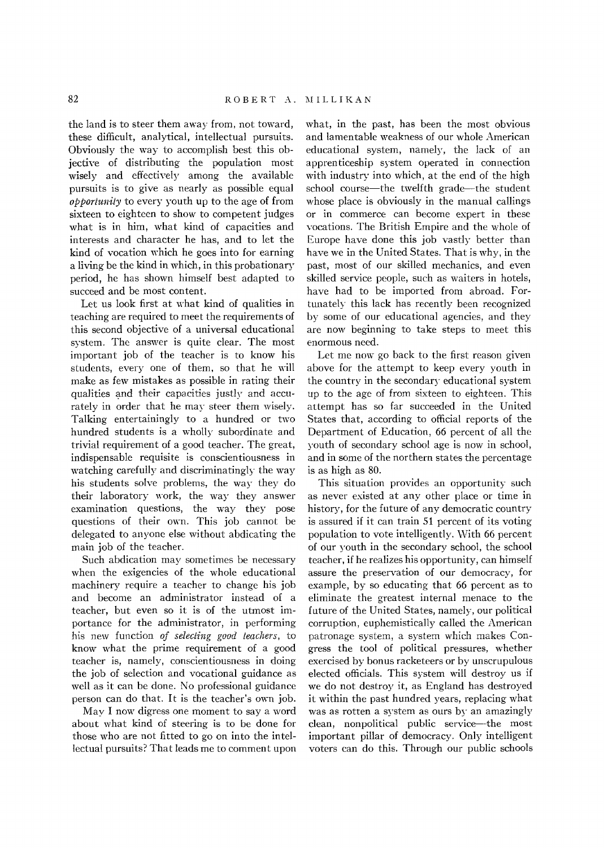the land is to steer them away from, not toward, these difficult, analytical, intellectual pursuits. Obviously the way to accomplish best this objective of distributing the population most wisely and effectively among the available pursuits is to give as nearly as possible equal *opportunity* to every youth up to the age of from sixteen to eighteen to show to competent judges what is in him, what kind of capacities and interests and character he has, and to let the kind of vocation which he goes into for earning a living be the kind in which, in this probationary period, he has shown himself best adapted to succeed and be most content.

Let us look first at what kind of qualities in teaching are required to meet the requirements of this second objective of a universal educational system. The answer is quite clear. The most important job of the teacher is to know his students, every one of them, so that he will make as few mistakes as possible in rating their qualities and their capacities justly and accurately in order that he may steer them wisely. Talking entertainingly to a hundred or two hundred students is a wholly subordinate and trivial requirement of a good teacher. The great, indispensable requisite is conscientiousness in watching carefully and discriminatingly the way his students solve problems, the way they do their laboratory work, the way they answer examination questions, the way they pose questions of their own. This job cannot be delegated to anyone else without abdicating the main job of the teacher.

Such abdication may sometimes be necessary when the exigencies of the whole educational machinery require a teacher to change his job and become an administrator instead of a teacher, but even so it is of the utmost importance for the administrator, in performing his new function *of selecting good teachers,* to know what the prime requirement of a good teacher is, namely, conscientiousness in doing the job of selection and vocational guidance as well as it can be done. No professional guidance person can do that. It is the teacher's own job.

May I now digress one moment to say a word about what kind of steering is to be done for those who are not fitted to go on into the intellectual pursuits? That leads me to comment upon

what, in the past, has been the most obvious and lamentable weakness of our whole American educational system, namely, the lack of an apprenticeship system operated in connection with industry into which, at the end of the high school course—the twelfth grade—the student whose place is obviously in the manual callings or in commerce can become expert in these vocations. The British Empire and the whole of Europe have done this job vastly better than have we in the United States. That is why, in the past, most of our skilled mechanics, and even skilled service people, such as waiters in hotels, have had to be imported from abroad. Fortunately this lack has recently been recognized by some of our educational agencies, and they are now beginning to take steps to meet this enormous need.

Let me now go back to the first reason given above for the attempt to keep every youth in the country in the secondary educational system up to the age of from sixteen to eighteen. This attempt has so far succeeded in the United States that, according to official reports of the Department of Education, 66 percent of all the youth of secondary school age is now in school, and in some of the northern states the percentage is as high as 80.

This situation provides an opportunity such as never existed at any other place or time in history, for the future of any democratic country is assured if it can train 51 percent of its voting population to vote intelligently. With 66 percent of our youth in the secondary school, the school teacher, if he realizes his opportunity, can himself assure the preservation of our democracy, for example, by so educating that 66 percent as to eliminate the greatest internal menace to the future of the United States, namely, our political corruption, euphemistically called the American patronage system, a system which makes Congress the tool of political pressures, whether exercised by bonus racketeers or by unscrupulous elected officials. This system will destroy us if we do not destroy it, as England has destroyed it within the past hundred years, replacing what was as rotten a system as ours by an amazingly clean, nonpolitical public service—the most important pillar of democracy. Only intelligent voters can do this. Through our public schools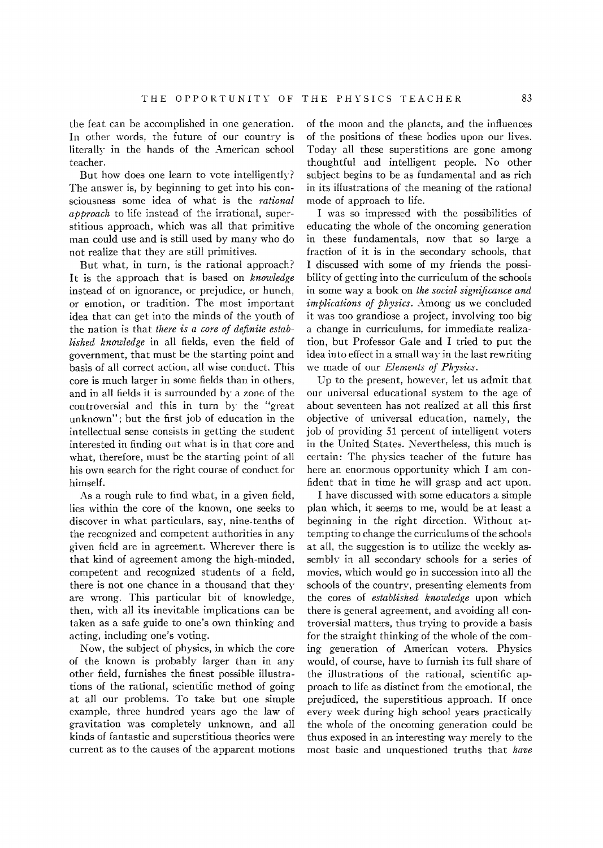the feat can be accomplished in one generation. In other words, the future of our country is literally in the hands of the American school teacher.

But how does one learn to vote intelligently? The answer is, by beginning to get into his consciousness some idea of what is the *rational approach* to life instead of the irrational, superstitious approach, which was all that primitive man could use and is still used by many who do not realize that they are still primitives.

But what, in turn, is the rational approach? It is the approach that is based on *knowledge*  instead of on ignorance, or prejudice, or hunch, or emotion, or tradition. The most important idea that can get into the minds of the youth of the nation is that *there* is *a core of definite established knowledge* in all fields, even the field of government, that must be the starting point and basis of all correct action, all wise conduct. This core is much larger in some fields than in others, and in all fields it is surrounded by a zone of the controversial and this in turn by the "great unknown"; but the first job of education in the intellectual sense consists in getting the student interested in finding out what is in that core and what, therefore, must be the starting point of all his own search for the right course of conduct for himself.

As a rough rule to find what, in a given field, lies within the core of the known, one seeks to discover in what particulars, say, nine-tenths of the recognized and competent authorities in any given field are in agreement. \Vherever there is that kind of agreement among the high-minded, competent and recognized students of a field, there is not one chance in a thousand that they are wrong. This particular bit of knowledge, then, with all its inevitable implications can be taken as a safe guide to one's own thinking and acting, including one's voting.

Now, the subject of physics, in which the core of the known is probably larger than in any other field, furnishes the finest possible illustrations of the rational, scientific method of going at all our problems. To take but one simple example, three hundred years ago the law of gravitation was completely unknown, and all kinds of fantastic and superstitious theories were current as to the causes of the apparent motions

of the moon and the planets, and the influences of the positions of these bodies upon our lives. Today all these superstitions are gone among thoughtful and intelligent people. No other subject begins to be as fundamental and as rich in its illustrations of the meaning of the rational mode of approach to life.

I was so impressed with the possibilities of educating the whole of the oncoming generation in these fundamentals, now that so large a fraction of it is in the secondary schools, that I discussed with some of my friends the possibility of getting into the curriculum of the schools in some way a book on *the social significance and implications of physics.* Among us we concluded it was too grandiose a project, involving too big a change in curriculums, for immediate realization, but Professor Gale and I tried to put the idea into effect in a small way in the last rewriting we made of our *Elements of Physics.* 

Up to the present, however, let us admit that our universal educational system to the age of about seventeen has not realized at all this first objective of universal education, namely, the job of providing 51 percent of intelligent voters in the United States. Nevertheless, this much is certain: The physics teacher of the future has here an enormous opportunity which I am confident that in time he will grasp and act upon.

I have discussed with some educators a simple plan which, it seems to me, would be at least a beginning in the right direction. Without attempting to change the curriculums of the schools at all, the suggestion is to utilize the weekly assembly in all secondary schools for a series of movies, which would go in succession into all the schools of the country, presenting elements from the cores of *established knowledge* upon which there is general agreement, and avoiding all controversial matters, thus trying to provide a basis for the straight thinking of the whole of the coming generation of American voters. Physics would, of course, have to furnish its full share of the illustrations of the rational, scientific approach to life as distinct from the emotional, the prejudiced, the superstitious approach. If once every week during high school years practically the whole of the oncoming generation could be thus exposed in an interesting way merely to the most basic and unquestioned truths that *have*